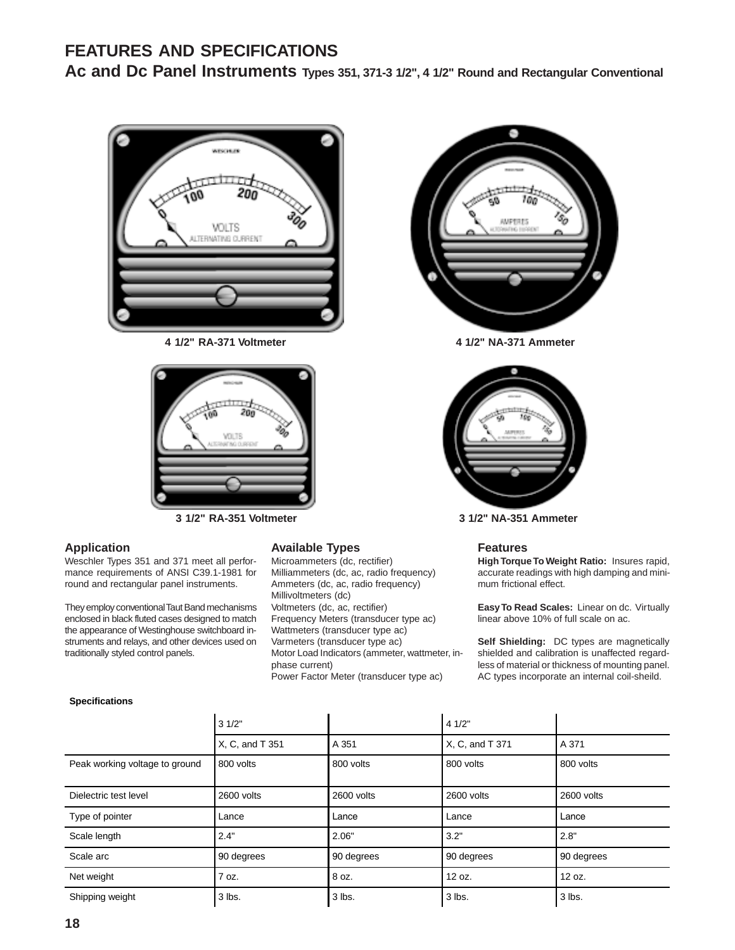# **FEATURES AND SPECIFICATIONS**

Ac and Dc Panel Instruments Types 351, 371-3 1/2", 4 1/2" Round and Rectangular Conventional



**4 1/2" RA-371 Voltmeter 4 1/2" NA-371 Ammeter**



**3 1/2" RA-351 Voltmeter 3 1/2" NA-351 Ammeter**

## **Application**

Weschler Types 351 and 371 meet all performance requirements of ANSI C39.1-1981 for round and rectangular panel instruments.

They employ conventional Taut Band mechanisms enclosed in black fluted cases designed to match the appearance of Westinghouse switchboard instruments and relays, and other devices used on traditionally styled control panels.

#### **Available Types**

Microammeters (dc, rectifier) Milliammeters (dc, ac, radio frequency) Ammeters (dc, ac, radio frequency) Millivoltmeters (dc) Voltmeters (dc, ac, rectifier) Frequency Meters (transducer type ac) Wattmeters (transducer type ac) Varmeters (transducer type ac) Motor Load Indicators (ammeter, wattmeter, inphase current) Power Factor Meter (transducer type ac)





#### **Features**

**High Torque To Weight Ratio:** Insures rapid, accurate readings with high damping and minimum frictional effect.

**Easy To Read Scales:** Linear on dc. Virtually linear above 10% of full scale on ac.

**Self Shielding:** DC types are magnetically shielded and calibration is unaffected regardless of material or thickness of mounting panel. AC types incorporate an internal coil-sheild.

#### **Specifications**

|                                | 31/2"           |            | 41/2"           |            |  |
|--------------------------------|-----------------|------------|-----------------|------------|--|
|                                | X, C, and T 351 | A 351      | X, C, and T 371 | A 371      |  |
| Peak working voltage to ground | 800 volts       | 800 volts  | 800 volts       | 800 volts  |  |
| Dielectric test level          | 2600 volts      |            | 2600 volts      | 2600 volts |  |
| Type of pointer                | Lance           | Lance      | Lance           | Lance      |  |
| Scale length                   | 2.4"            | 2.06"      | 3.2"            | 2.8"       |  |
| Scale arc                      | 90 degrees      | 90 degrees | 90 degrees      | 90 degrees |  |
| Net weight                     | 7 oz.           | 8 oz.      | 12 oz.          | 12 oz.     |  |
| Shipping weight                | 3 lbs.          | 3 lbs.     | 3 lbs.          | 3 lbs.     |  |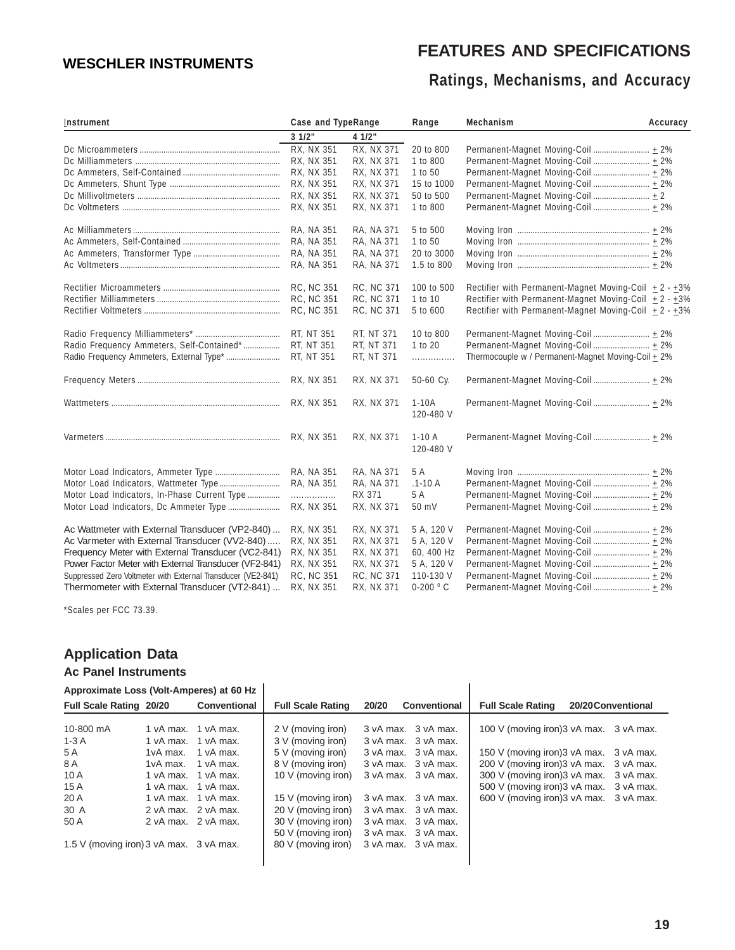# **FEATURES AND SPECIFICATIONS**

# **Ratings, Mechanisms, and Accuracy**

| <b>WESCHLER INSTRUMENTS</b>                                                                       |           |                                            |                                          |                          |                          | Ratings, Mechanisms, and Accuracy                                           |          |
|---------------------------------------------------------------------------------------------------|-----------|--------------------------------------------|------------------------------------------|--------------------------|--------------------------|-----------------------------------------------------------------------------|----------|
| Instrument                                                                                        |           |                                            | Case and TypeRange                       |                          | Range                    | Mechanism                                                                   | Accuracy |
|                                                                                                   |           |                                            | 31/2"                                    | 41/2"                    |                          |                                                                             |          |
|                                                                                                   |           |                                            | RX, NX 351                               | RX, NX 371               | 20 to 800                |                                                                             |          |
|                                                                                                   |           |                                            | RX, NX 351                               | RX, NX 371               | 1 to 800                 | Permanent-Magnet Moving-Coil  ± 2%                                          |          |
|                                                                                                   |           |                                            | RX, NX 351                               | RX, NX 371               | 1 to 50                  | Permanent-Magnet Moving-Coil  ± 2%                                          |          |
|                                                                                                   |           |                                            | <b>RX, NX 351</b>                        | RX, NX 371               | 15 to 1000               | Permanent-Magnet Moving-Coil  ± 2%                                          |          |
|                                                                                                   |           |                                            | RX, NX 351<br>RX, NX 351                 | RX, NX 371<br>RX, NX 371 | 50 to 500<br>1 to 800    | Permanent-Magnet Moving-Coil  ± 2<br>Permanent-Magnet Moving-Coil  ± 2%     |          |
|                                                                                                   |           |                                            | RA, NA 351                               | RA, NA 371               | 5 to 500                 |                                                                             |          |
|                                                                                                   |           |                                            | RA, NA 351                               | RA, NA 371               | 1 to 50                  |                                                                             |          |
|                                                                                                   |           |                                            | RA, NA 351                               | RA, NA 371               | 20 to 3000               |                                                                             |          |
|                                                                                                   |           |                                            | RA, NA 351                               | RA, NA 371               | 1.5 to 800               |                                                                             |          |
|                                                                                                   |           |                                            | RC, NC 351                               | <b>RC, NC 371</b>        | 100 to 500               | Rectifier with Permanent-Magnet Moving-Coil ± 2 - ±3%                       |          |
|                                                                                                   |           |                                            | RC, NC 351                               | RC, NC 371               | 1 to 10                  | Rectifier with Permanent-Magnet Moving-Coil $\pm 2 - \pm 3\%$               |          |
|                                                                                                   |           |                                            | <b>RC, NC 351</b>                        | RC, NC 371               | 5 to 600                 | Rectifier with Permanent-Magnet Moving-Coil + 2 - +3%                       |          |
|                                                                                                   |           |                                            | RT, NT 351                               | RT, NT 371               | 10 to 800                | Permanent-Magnet Moving-Coil  + 2%                                          |          |
| Radio Frequency Ammeters, Self-Contained*                                                         |           |                                            | RT, NT 351                               | RT, NT 371               | 1 to 20                  | Permanent-Magnet Moving-Coil  ± 2%                                          |          |
|                                                                                                   |           |                                            | RT, NT 351                               | RT, NT 371               | .                        | Thermocouple w / Permanent-Magnet Moving-Coil $\pm$ 2%                      |          |
|                                                                                                   |           |                                            | RX, NX 351                               | RX, NX 371               | 50-60 Су.                |                                                                             |          |
|                                                                                                   |           |                                            |                                          | RX, NX 371               | $1-10A$<br>120-480 V     | Permanent-Magnet Moving-Coil  ± 2%                                          |          |
|                                                                                                   |           |                                            | RX, NX 351                               | RX, NX 371               | $1-10A$<br>120-480 V     |                                                                             |          |
|                                                                                                   |           |                                            | RA, NA 351                               | RA, NA 371               | 5 A                      |                                                                             |          |
|                                                                                                   |           |                                            | RA, NA 351                               | RA, NA 371               | $.1 - 10A$               |                                                                             |          |
| Motor Load Indicators, In-Phase Current Type                                                      |           |                                            | .<br>RX, NX 351                          | RX 371<br>RX, NX 371     | 5 A<br>50 mV             | Permanent-Magnet Moving-Coil  ± 2%                                          |          |
|                                                                                                   |           |                                            |                                          |                          |                          |                                                                             |          |
| Ac Wattmeter with External Transducer (VP2-840)<br>Ac Varmeter with External Transducer (VV2-840) |           |                                            | <b>RX, NX 351</b><br>RX, NX 351          | RX, NX 371<br>RX, NX 371 | 5 A, 120 V<br>5 A, 120 V | Permanent-Magnet Moving-Coil  ± 2%                                          |          |
| Frequency Meter with External Transducer (VC2-841)                                                |           |                                            | RX, NX 351                               | RX, NX 371               | 60, 400 Hz               |                                                                             |          |
| Power Factor Meter with External Transducer (VF2-841)                                             |           |                                            | RX, NX 351                               | RX, NX 371               | 5 A, 120 V               | Permanent-Magnet Moving-Coil  ± 2%                                          |          |
| Suppressed Zero Voltmeter with External Transducer (VE2-841)                                      |           |                                            | RC, NC 351                               | <b>RC, NC 371</b>        | 110-130 V                | Permanent-Magnet Moving-Coil  ± 2%                                          |          |
| Thermometer with External Transducer (VT2-841)                                                    |           |                                            | <b>RX, NX 351</b>                        | RX, NX 371               | $0-200 °C$               |                                                                             |          |
| *Scales per FCC 73.39.                                                                            |           |                                            |                                          |                          |                          |                                                                             |          |
| <b>Application Data</b>                                                                           |           |                                            |                                          |                          |                          |                                                                             |          |
| <b>Ac Panel Instruments</b>                                                                       |           |                                            |                                          |                          |                          |                                                                             |          |
| Approximate Loss (Volt-Amperes) at 60 Hz                                                          |           |                                            |                                          |                          |                          |                                                                             |          |
| Full Scale Rating 20/20                                                                           |           | Conventional                               | <b>Full Scale Rating</b>                 | 20/20                    | Conventional             | 20/20 Conventional<br><b>Full Scale Rating</b>                              |          |
| 10-800 mA                                                                                         |           | 1 vA max. 1 vA max.                        | 2 V (moving iron)                        |                          | 3 vA max. 3 vA max.      | 100 V (moving iron) 3 vA max. 3 vA max.                                     |          |
| 1-3 A                                                                                             |           | 1 vA max. 1 vA max.                        | 3 V (moving iron)                        |                          | 3 vA max. 3 vA max.      |                                                                             |          |
| 5 A                                                                                               | 1vA max.  | 1 vA max.                                  | 5 V (moving iron)                        |                          | 3 vA max. 3 vA max.      | 150 V (moving iron) 3 vA max.<br>3 vA max.                                  |          |
| 8 A                                                                                               | 1vA max.  | 1 vA max.                                  | 8 V (moving iron)                        |                          | 3 vA max. 3 vA max.      | 200 V (moving iron) 3 vA max.<br>3 vA max.                                  |          |
| 10 A                                                                                              | 1 vA max. | 1 vA max.                                  | 10 V (moving iron)                       |                          | 3 vA max. 3 vA max.      | 300 V (moving iron) 3 vA max.<br>3 vA max.                                  |          |
| 15 A<br>20 A                                                                                      |           | 1 vA max. 1 vA max.<br>1 vA max. 1 vA max. |                                          |                          | 3 vA max. 3 vA max.      | 500 V (moving iron) 3 vA max.<br>3 vA max.<br>600 V (moving iron) 3 vA max. |          |
| 30 A                                                                                              |           | 2 vA max. 2 vA max.                        | 15 V (moving iron)<br>20 V (moving iron) |                          | 3 vA max. 3 vA max.      | 3 vA max.                                                                   |          |
| 50 A                                                                                              |           | 2 vA max. 2 vA max.                        | 30 V (moving iron)                       |                          | 3 vA max. 3 vA max.      |                                                                             |          |
|                                                                                                   |           |                                            | 50 V (moving iron)                       |                          | 3 vA max. 3 vA max.      |                                                                             |          |
| 1.5 V (moving iron) 3 vA max. 3 vA max.                                                           |           |                                            | 80 V (moving iron)                       |                          | 3 vA max. 3 vA max.      |                                                                             |          |
|                                                                                                   |           |                                            |                                          |                          |                          |                                                                             |          |
|                                                                                                   |           |                                            |                                          |                          |                          |                                                                             |          |
|                                                                                                   |           |                                            |                                          |                          |                          |                                                                             | 19       |

# **Application Data**

## **Ac Panel Instruments**

| Full Scale Rating 20/20                 |                     | Conventional        | <b>Full Scale Rating</b> | 20/20<br>Conventional | 20/20 Conventional<br><b>Full Scale Rating</b> |
|-----------------------------------------|---------------------|---------------------|--------------------------|-----------------------|------------------------------------------------|
| 10-800 mA                               |                     | 1 vA max. 1 vA max. | 2 V (moving iron)        | 3 vA max. 3 vA max.   | 100 V (moving iron) 3 vA max. 3 vA max.        |
| $1-3A$                                  |                     | 1 vA max. 1 vA max. | 3 V (moving iron)        | 3 vA max. 3 vA max.   |                                                |
| 5 A                                     |                     | 1yA max. 1 yA max.  | 5 V (moving iron)        | 3 vA max. 3 vA max.   | 150 V (moving iron) 3 vA max. 3 vA max.        |
| 8 A                                     |                     | 1yA max. 1 yA max.  | 8 V (moving iron)        | 3 vA max. 3 vA max.   | 200 V (moving iron) 3 vA max. 3 vA max.        |
| 10A                                     |                     | 1 vA max. 1 vA max. | 10 V (moving iron)       | 3 vA max. 3 vA max.   | 300 V (moving iron) 3 vA max. 3 vA max.        |
| 15A                                     |                     | 1 vA max. 1 vA max. |                          |                       | 500 V (moving iron) 3 vA max. 3 vA max.        |
| 20 A                                    |                     | 1 vA max. 1 vA max. | 15 V (moving iron)       | 3 vA max. 3 vA max.   | 600 V (moving iron) 3 vA max. 3 vA max.        |
| 30 A                                    | 2 vA max. 2 vA max. |                     | 20 V (moving iron)       | 3 vA max. 3 vA max.   |                                                |
| 50 A                                    |                     | 2 vA max. 2 vA max. | 30 V (moving iron)       | 3 vA max. 3 vA max.   |                                                |
|                                         |                     |                     | 50 V (moving iron)       | 3 vA max. 3 vA max.   |                                                |
| 1.5 V (moving iron) 3 vA max. 3 vA max. |                     |                     | 80 V (moving iron)       | 3 vA max. 3 vA max.   |                                                |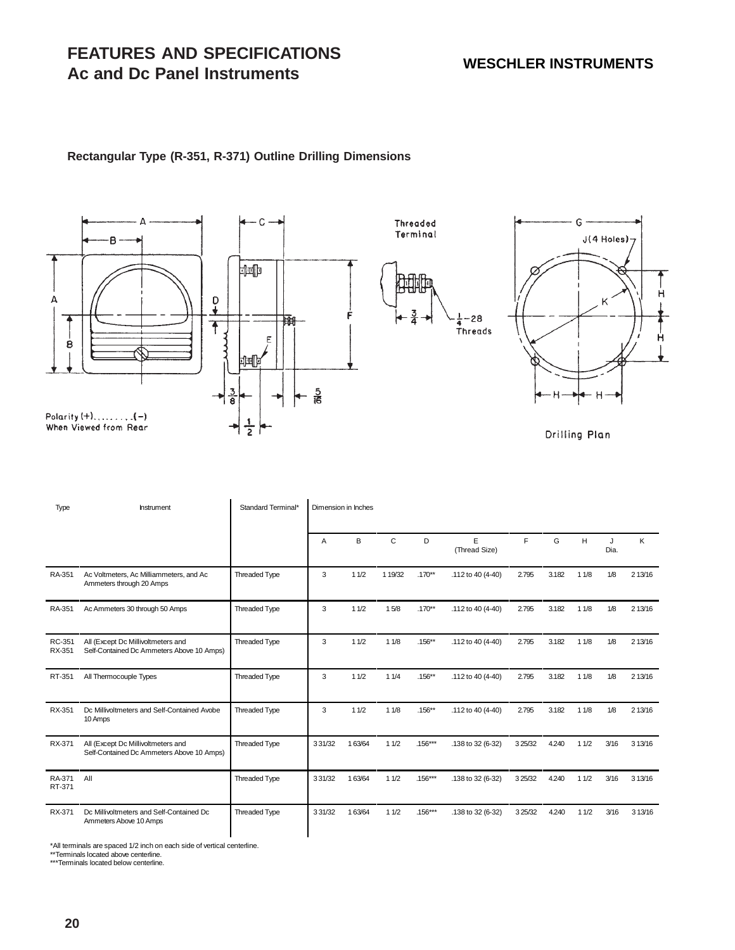н

Ĥ

# **FEATURES AND SPECIFICATIONS Ac and Dc Panel Instruments**

## **Rectangular Type (R-351, R-371) Outline Drilling Dimensions**



|                  | <b>Ac and Dc Panel Instruments</b>                                                                                                                         |                    |        | <b>WESCHLER INSTRUMENTS</b> |                                       |                       |                                        |           |       |        |           |            |
|------------------|------------------------------------------------------------------------------------------------------------------------------------------------------------|--------------------|--------|-----------------------------|---------------------------------------|-----------------------|----------------------------------------|-----------|-------|--------|-----------|------------|
|                  | Rectangular Type (R-351, R-371) Outline Drilling Dimensions                                                                                                |                    |        |                             |                                       |                       |                                        |           |       |        |           |            |
| А<br>8           | в<br>₽<br>↓<br>$\frac{3}{8}$<br>When Viewed from Rear                                                                                                      | $rac{5}{16}$       |        |                             | Threaded<br>Terminal<br>$\frac{3}{4}$ | -28<br><b>Threads</b> | $J(4$ Holes) $7$<br>ĸ<br>Drilling Plan |           |       |        |           |            |
| Type             | hstrument                                                                                                                                                  | Standard Terminal* | Α      | Dimension in Inches<br>В    | $\mathbf C$                           | D                     | Е<br>(Thread Size)                     | F         | G     | Н      | J<br>Dia. | Κ          |
| RA-351           | Ac Voltmeters, Ac Milliammeters, and Ac<br>Ammeters through 20 Amps                                                                                        | Threaded Type      | 3      | 11/2                        | 1 19/32                               | $.170**$              | .112 to 40 (4-40)                      | 2.795     | 3.182 | 11/8   | 1/8       | 2 13/16    |
| RA-351           | Ac Ammeters 30 through 50 Amps                                                                                                                             | Threaded Type      | 3      | $11/2$                      | 15/8                                  | $.170**$              | .112 to 40 (4-40)                      | 2.795     | 3.182 | 11/8   | 1/8       | 2 13/16    |
| RC-351<br>RX-351 | All (Except Dc Millivoltmeters and<br>Self-Contained Dc Ammeters Above 10 Amps)                                                                            | Threaded Type      | 3      | 11/2                        | 11/8                                  | $.156**$              | .112 to 40 (4-40)                      | 2.795     | 3.182 | 11/8   | 1/8       | 213/16     |
| RT-351           | All Thermocouple Types                                                                                                                                     | Threaded Type      | 3      | 11/2                        | 11/4                                  | $.156**$              | .112 to 40 (4-40)                      | 2.795     | 3.182 | 11/8   | 1/8       | 213/16     |
| RX-351           | Dc Millivoltmeters and Self-Contained Avobe<br>10 Amps                                                                                                     | Threaded Type      | 3      | 11/2                        | 11/8                                  | $.156**$              | .112 to 40 (4-40)                      | 2.795     | 3.182 | 11/8   | 1/8       | 213/16     |
| RX-371           | All (Except Dc Millivoltmeters and<br>Self-Contained Dc Ammeters Above 10 Amps)                                                                            | Threaded Type      | 331/32 | 163/64                      | 11/2                                  | $.156***$             | .138 to 32 (6-32)                      | 3 2 5/3 2 | 4.240 | 11/2   | 3/16      | 3 1 3 / 16 |
| RA-371<br>RT-371 | All                                                                                                                                                        | Threaded Type      | 331/32 | 163/64                      | 11/2                                  | $.156***$             | .138 to 32 (6-32)                      | 3 25/32   | 4.240 | 11/2   | 3/16      | 313/16     |
| RX-371           | Dc Millivoltmeters and Self-Contained Dc<br>Ammeters Above 10 Amps                                                                                         | Threaded Type      | 331/32 | 163/64                      | 11/2                                  | $.156***$             | .138 to 32 (6-32)                      | 3 25/32   | 4.240 | $11/2$ | 3/16      | 313/16     |
| 20               | *All terminals are spaced 1/2 inch on each side of vertical centerline.<br>**Terminals located above centerline.<br>***Terminals located below centerline. |                    |        |                             |                                       |                       |                                        |           |       |        |           |            |